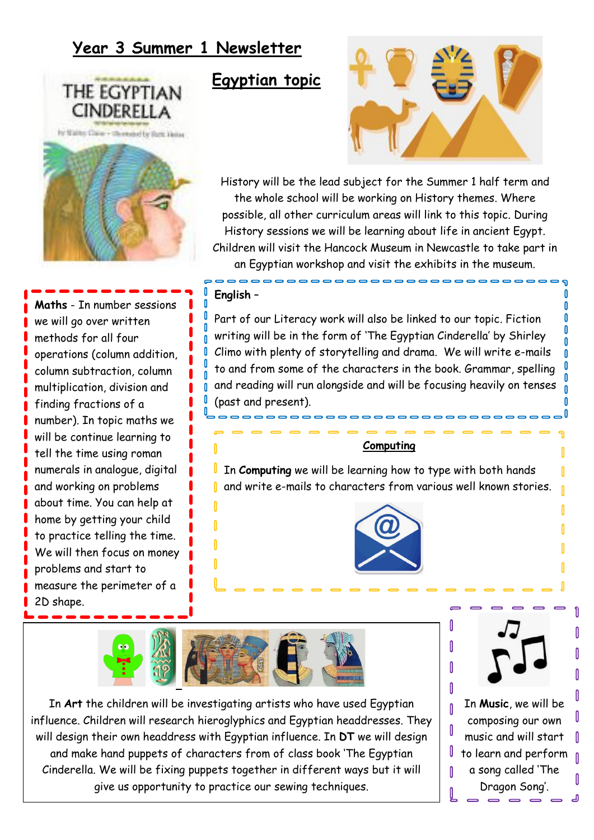## **Year 3 Summer 1 Newsletter**



**Maths** - In number sessions we will go over written methods for all four operations (column addition, column subtraction, column multiplication, division and finding fractions of a number). In topic maths we will be continue learning to tell the time using roman numerals in analogue, digital and working on problems about time. You can help at home by getting your child to practice telling the time. We will then focus on money problems and start to measure the perimeter of a 2D shape.

## **Egyptian topic**



History will be the lead subject for the Summer 1 half term and the whole school will be working on History themes. Where possible, all other curriculum areas will link to this topic. During History sessions we will be learning about life in ancient Egypt. Children will visit the Hancock Museum in Newcastle to take part in an Egyptian workshop and visit the exhibits in the museum.

## **English** –

Part of our Literacy work will also be linked to our topic. Fiction writing will be in the form of 'The Egyptian Cinderella' by Shirley Climo with plenty of storytelling and drama. We will write e-mails to and from some of the characters in the book. Grammar, spelling and reading will run alongside and will be focusing heavily on tenses (past and present).

## **Computing**

In **Computing** we will be learning how to type with both hands L and write e-mails to characters from various well known stories. n.





Ñ

In **Art** the children will be investigating artists who have used Egyptian influence. Children will research hieroglyphics and Egyptian headdresses. They will design their own headdress with Egyptian influence. In **DT** we will design and make hand puppets of characters from of class book 'The Egyptian Cinderella. We will be fixing puppets together in different ways but it will give us opportunity to practice our sewing techniques.



Λ

In **Music**, we will be composing our own music and will start to learn and perform a song called 'The Dragon Song'.

Ñ